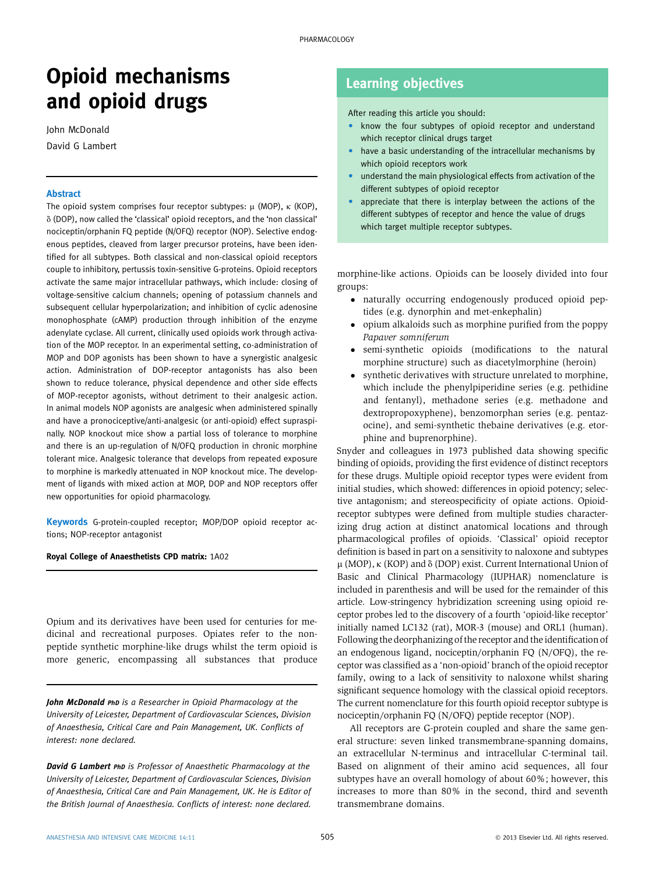# Opioid mechanisms and opioid drugs

John McDonald David G Lambert

## Abstract

The opioid system comprises four receptor subtypes:  $\mu$  (MOP),  $\kappa$  (KOP),  $\delta$  (DOP), now called the 'classical' opioid receptors, and the 'non classical' nociceptin/orphanin FQ peptide (N/OFQ) receptor (NOP). Selective endogenous peptides, cleaved from larger precursor proteins, have been identified for all subtypes. Both classical and non-classical opioid receptors couple to inhibitory, pertussis toxin-sensitive G-proteins. Opioid receptors activate the same major intracellular pathways, which include: closing of voltage-sensitive calcium channels; opening of potassium channels and subsequent cellular hyperpolarization; and inhibition of cyclic adenosine monophosphate (cAMP) production through inhibition of the enzyme adenylate cyclase. All current, clinically used opioids work through activation of the MOP receptor. In an experimental setting, co-administration of MOP and DOP agonists has been shown to have a synergistic analgesic action. Administration of DOP-receptor antagonists has also been shown to reduce tolerance, physical dependence and other side effects of MOP-receptor agonists, without detriment to their analgesic action. In animal models NOP agonists are analgesic when administered spinally and have a pronociceptive/anti-analgesic (or anti-opioid) effect supraspinally. NOP knockout mice show a partial loss of tolerance to morphine and there is an up-regulation of N/OFQ production in chronic morphine tolerant mice. Analgesic tolerance that develops from repeated exposure to morphine is markedly attenuated in NOP knockout mice. The development of ligands with mixed action at MOP, DOP and NOP receptors offer new opportunities for opioid pharmacology.

Keywords G-protein-coupled receptor; MOP/DOP opioid receptor actions; NOP-receptor antagonist

Royal College of Anaesthetists CPD matrix: 1A02

Opium and its derivatives have been used for centuries for medicinal and recreational purposes. Opiates refer to the nonpeptide synthetic morphine-like drugs whilst the term opioid is more generic, encompassing all substances that produce

John McDonald PhD is a Researcher in Opioid Pharmacology at the University of Leicester, Department of Cardiovascular Sciences, Division of Anaesthesia, Critical Care and Pain Management, UK. Conflicts of interest: none declared.

**David G Lambert PhD** is Professor of Anaesthetic Pharmacology at the University of Leicester, Department of Cardiovascular Sciences, Division of Anaesthesia, Critical Care and Pain Management, UK. He is Editor of the British Journal of Anaesthesia. Conflicts of interest: none declared.

# Learning objectives

After reading this article you should:

- know the four subtypes of opioid receptor and understand which receptor clinical drugs target
- have a basic understanding of the intracellular mechanisms by which opioid receptors work
- understand the main physiological effects from activation of the different subtypes of opioid receptor
- appreciate that there is interplay between the actions of the different subtypes of receptor and hence the value of drugs which target multiple receptor subtypes.

morphine-like actions. Opioids can be loosely divided into four groups:

- naturally occurring endogenously produced opioid peptides (e.g. dynorphin and met-enkephalin)
- opium alkaloids such as morphine purified from the poppy Papaver somniferum
- semi-synthetic opioids (modifications to the natural morphine structure) such as diacetylmorphine (heroin)
- synthetic derivatives with structure unrelated to morphine, which include the phenylpiperidine series (e.g. pethidine and fentanyl), methadone series (e.g. methadone and dextropropoxyphene), benzomorphan series (e.g. pentazocine), and semi-synthetic thebaine derivatives (e.g. etorphine and buprenorphine).

Snyder and colleagues in 1973 published data showing specific binding of opioids, providing the first evidence of distinct receptors for these drugs. Multiple opioid receptor types were evident from initial studies, which showed: differences in opioid potency; selective antagonism; and stereospecificity of opiate actions. Opioidreceptor subtypes were defined from multiple studies characterizing drug action at distinct anatomical locations and through pharmacological profiles of opioids. 'Classical' opioid receptor definition is based in part on a sensitivity to naloxone and subtypes  $\mu$  (MOP),  $\kappa$  (KOP) and  $\delta$  (DOP) exist. Current International Union of Basic and Clinical Pharmacology (IUPHAR) nomenclature is included in parenthesis and will be used for the remainder of this article. Low-stringency hybridization screening using opioid receptor probes led to the discovery of a fourth 'opioid-like receptor' initially named LC132 (rat), MOR-3 (mouse) and ORL1 (human). Following the deorphanizing of the receptor and the identification of an endogenous ligand, nociceptin/orphanin FQ (N/OFQ), the receptor was classified as a 'non-opioid' branch of the opioid receptor family, owing to a lack of sensitivity to naloxone whilst sharing significant sequence homology with the classical opioid receptors. The current nomenclature for this fourth opioid receptor subtype is nociceptin/orphanin FQ (N/OFQ) peptide receptor (NOP).

All receptors are G-protein coupled and share the same general structure: seven linked transmembrane-spanning domains, an extracellular N-terminus and intracellular C-terminal tail. Based on alignment of their amino acid sequences, all four subtypes have an overall homology of about 60%; however, this increases to more than 80% in the second, third and seventh transmembrane domains.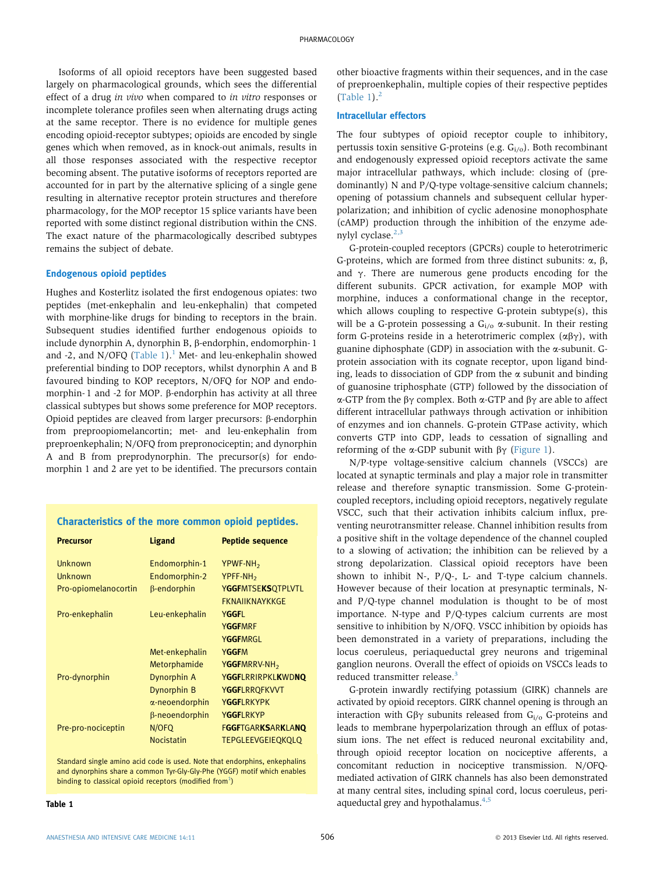Isoforms of all opioid receptors have been suggested based largely on pharmacological grounds, which sees the differential effect of a drug in vivo when compared to in vitro responses or incomplete tolerance profiles seen when alternating drugs acting at the same receptor. There is no evidence for multiple genes encoding opioid-receptor subtypes; opioids are encoded by single genes which when removed, as in knock-out animals, results in all those responses associated with the respective receptor becoming absent. The putative isoforms of receptors reported are accounted for in part by the alternative splicing of a single gene resulting in alternative receptor protein structures and therefore pharmacology, for the MOP receptor 15 splice variants have been reported with some distinct regional distribution within the CNS. The exact nature of the pharmacologically described subtypes remains the subject of debate.

# Endogenous opioid peptides

Hughes and Kosterlitz isolated the first endogenous opiates: two peptides (met-enkephalin and leu-enkephalin) that competed with morphine-like drugs for binding to receptors in the brain. Subsequent studies identified further endogenous opioids to include dynorphin A, dynorphin B, β-endorphin, endomorphin-1 and -2, and N/OFQ  $(Table 1)$  $(Table 1)$  $(Table 1)$ .<sup>1</sup> Met- and leu-enkephalin showed preferential binding to DOP receptors, whilst dynorphin A and B favoured binding to KOP receptors, N/OFQ for NOP and endomorphin-1 and -2 for MOP.  $\beta$ -endorphin has activity at all three classical subtypes but shows some preference for MOP receptors. Opioid peptides are cleaved from larger precursors:  $\beta$ -endorphin from preproopiomelancortin; met- and leu-enkephalin from preproenkephalin; N/OFQ from prepronociceptin; and dynorphin A and B from preprodynorphin. The precursor(s) for endomorphin 1 and 2 are yet to be identified. The precursors contain

# Characteristics of the more common opioid peptides.

| <b>Precursor</b>     | <b>Ligand</b>      | <b>Peptide sequence</b>  |
|----------------------|--------------------|--------------------------|
| Unknown              | Endomorphin-1      | YPWF-NH <sub>2</sub>     |
| <b>Unknown</b>       | Endomorphin-2      | YPFF-NH <sub>2</sub>     |
| Pro-opiomelanocortin | $\beta$ -endorphin | <b>YGGFMTSEKSQTPLVTL</b> |
|                      |                    | <b>FKNAIIKNAYKKGF</b>    |
| Pro-enkephalin       | Leu-enkephalin     | YGGFI                    |
|                      |                    | <b>YGGFMRF</b>           |
|                      |                    | <b>YGGFMRGL</b>          |
|                      | Met-enkephalin     | <b>YGGFM</b>             |
|                      | Metorphamide       | YGGFMRRV-NH <sub>2</sub> |
| Pro-dynorphin        | <b>Dynorphin A</b> | <b>YGGFLRRIRPKLKWDNO</b> |
|                      | Dynorphin B        | <b>YGGFLRRQFKVVT</b>     |
|                      | a-neoendorphin     | YGGFI RKYPK              |
|                      | β-neoendorphin     | YGGFLRKYP                |
| Pre-pro-nociceptin   | N/OFQ              | <b>FGGFTGARKSARKLANQ</b> |
|                      | <b>Nocistatin</b>  | <b>TEPGLEEVGEIEQKQLQ</b> |

Standard single amino acid code is used. Note that endorphins, enkephalins and dynorphins share a common Tyr-Gly-Gly-Phe (YGGF) motif which enables binding to classical opioid receptors (modified from $^{1}$  $^{1}$  $^{1}$ )

other bioactive fragments within their sequences, and in the case of preproenkephalin, multiple copies of their respective peptides (Table 1). $<sup>2</sup>$  $<sup>2</sup>$  $<sup>2</sup>$ </sup>

### Intracellular effectors

The four subtypes of opioid receptor couple to inhibitory, pertussis toxin sensitive G-proteins (e.g. G<sub>i/o</sub>). Both recombinant and endogenously expressed opioid receptors activate the same major intracellular pathways, which include: closing of (predominantly) N and P/Q-type voltage-sensitive calcium channels; opening of potassium channels and subsequent cellular hyperpolarization; and inhibition of cyclic adenosine monophosphate (cAMP) production through the inhibition of the enzyme adenylyl cyclase. $2,3$ 

G-protein-coupled receptors (GPCRs) couple to heterotrimeric G-proteins, which are formed from three distinct subunits:  $\alpha$ ,  $\beta$ , and  $\gamma$ . There are numerous gene products encoding for the different subunits. GPCR activation, for example MOP with morphine, induces a conformational change in the receptor, which allows coupling to respective G-protein subtype(s), this will be a G-protein possessing a  $G_i/2$   $\alpha$ -subunit. In their resting form G-proteins reside in a heterotrimeric complex  $(\alpha\beta\gamma)$ , with guanine diphosphate (GDP) in association with the  $\alpha$ -subunit. Gprotein association with its cognate receptor, upon ligand binding, leads to dissociation of GDP from the  $\alpha$  subunit and binding of guanosine triphosphate (GTP) followed by the dissociation of  $\alpha$ -GTP from the  $\beta\gamma$  complex. Both  $\alpha$ -GTP and  $\beta\gamma$  are able to affect different intracellular pathways through activation or inhibition of enzymes and ion channels. G-protein GTPase activity, which converts GTP into GDP, leads to cessation of signalling and reforming of the  $\alpha$ -GDP subunit with  $\beta\gamma$  ([Figure 1](#page-2-0)).

N/P-type voltage-sensitive calcium channels (VSCCs) are located at synaptic terminals and play a major role in transmitter release and therefore synaptic transmission. Some G-proteincoupled receptors, including opioid receptors, negatively regulate VSCC, such that their activation inhibits calcium influx, preventing neurotransmitter release. Channel inhibition results from a positive shift in the voltage dependence of the channel coupled to a slowing of activation; the inhibition can be relieved by a strong depolarization. Classical opioid receptors have been shown to inhibit N-, P/Q-, L- and T-type calcium channels. However because of their location at presynaptic terminals, Nand P/Q-type channel modulation is thought to be of most importance. N-type and P/Q-types calcium currents are most sensitive to inhibition by N/OFQ. VSCC inhibition by opioids has been demonstrated in a variety of preparations, including the locus coeruleus, periaqueductal grey neurons and trigeminal ganglion neurons. Overall the effect of opioids on VSCCs leads to reduced transmitter release.<sup>[3](#page-4-0)</sup>

G-protein inwardly rectifying potassium (GIRK) channels are activated by opioid receptors. GIRK channel opening is through an interaction with  $G\beta\gamma$  subunits released from  $G<sub>i/o</sub>$  G-proteins and leads to membrane hyperpolarization through an efflux of potassium ions. The net effect is reduced neuronal excitability and, through opioid receptor location on nociceptive afferents, a concomitant reduction in nociceptive transmission. N/OFQmediated activation of GIRK channels has also been demonstrated at many central sites, including spinal cord, locus coeruleus, peri-aqueductal grey and hypothalamus.<sup>[4,5](#page-4-0)</sup>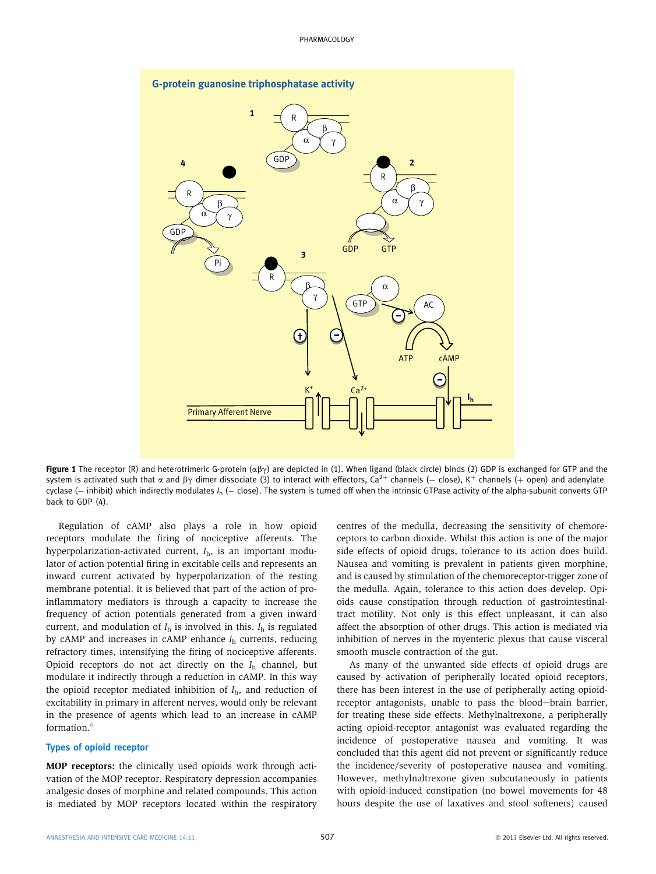<span id="page-2-0"></span>

Figure 1 The receptor (R) and heterotrimeric G-protein  $(\alpha\beta\gamma)$  are depicted in (1). When ligand (black circle) binds (2) GDP is exchanged for GTP and the system is activated such that  $\alpha$  and  $\beta\gamma$  dimer dissociate (3) to interact with effectors, Ca<sup>2+</sup> channels (– close), K<sup>+</sup> channels (+ open) and adenylate cyclase (- inhibit) which indirectly modulates  $I<sub>h</sub>$  (- close). The system is turned off when the intrinsic GTPase activity of the alpha-subunit converts GTP back to GDP (4).

Regulation of cAMP also plays a role in how opioid receptors modulate the firing of nociceptive afferents. The hyperpolarization-activated current,  $I<sub>h</sub>$ , is an important modulator of action potential firing in excitable cells and represents an inward current activated by hyperpolarization of the resting membrane potential. It is believed that part of the action of proinflammatory mediators is through a capacity to increase the frequency of action potentials generated from a given inward current, and modulation of  $I<sub>h</sub>$  is involved in this.  $I<sub>h</sub>$  is regulated by cAMP and increases in cAMP enhance  $I<sub>h</sub>$  currents, reducing refractory times, intensifying the firing of nociceptive afferents. Opioid receptors do not act directly on the  $I<sub>h</sub>$  channel, but modulate it indirectly through a reduction in cAMP. In this way the opioid receptor mediated inhibition of  $I<sub>b</sub>$ , and reduction of excitability in primary in afferent nerves, would only be relevant in the presence of agents which lead to an increase in cAMP formation.[6](#page-4-0)

### Types of opioid receptor

MOP receptors: the clinically used opioids work through activation of the MOP receptor. Respiratory depression accompanies analgesic doses of morphine and related compounds. This action is mediated by MOP receptors located within the respiratory

centres of the medulla, decreasing the sensitivity of chemoreceptors to carbon dioxide. Whilst this action is one of the major side effects of opioid drugs, tolerance to its action does build. Nausea and vomiting is prevalent in patients given morphine, and is caused by stimulation of the chemoreceptor-trigger zone of the medulla. Again, tolerance to this action does develop. Opioids cause constipation through reduction of gastrointestinaltract motility. Not only is this effect unpleasant, it can also affect the absorption of other drugs. This action is mediated via inhibition of nerves in the myenteric plexus that cause visceral smooth muscle contraction of the gut.

As many of the unwanted side effects of opioid drugs are caused by activation of peripherally located opioid receptors, there has been interest in the use of peripherally acting opioidreceptor antagonists, unable to pass the blood-brain barrier, for treating these side effects. Methylnaltrexone, a peripherally acting opioid-receptor antagonist was evaluated regarding the incidence of postoperative nausea and vomiting. It was concluded that this agent did not prevent or significantly reduce the incidence/severity of postoperative nausea and vomiting. However, methylnaltrexone given subcutaneously in patients with opioid-induced constipation (no bowel movements for 48 hours despite the use of laxatives and stool softeners) caused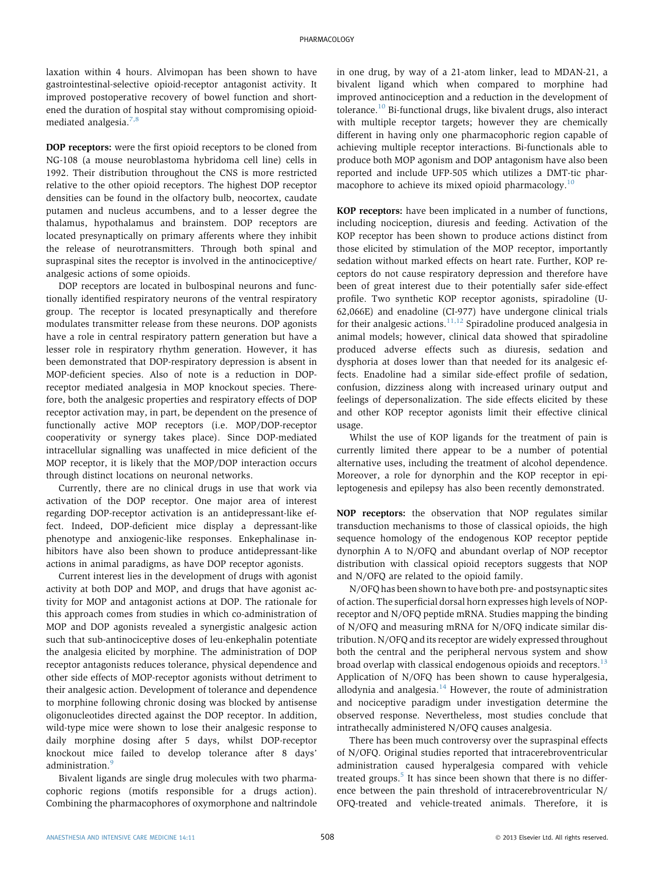laxation within 4 hours. Alvimopan has been shown to have gastrointestinal-selective opioid-receptor antagonist activity. It improved postoperative recovery of bowel function and shortened the duration of hospital stay without compromising opioidmediated analgesia.[7,8](#page-4-0)

DOP receptors: were the first opioid receptors to be cloned from NG-108 (a mouse neuroblastoma hybridoma cell line) cells in 1992. Their distribution throughout the CNS is more restricted relative to the other opioid receptors. The highest DOP receptor densities can be found in the olfactory bulb, neocortex, caudate putamen and nucleus accumbens, and to a lesser degree the thalamus, hypothalamus and brainstem. DOP receptors are located presynaptically on primary afferents where they inhibit the release of neurotransmitters. Through both spinal and supraspinal sites the receptor is involved in the antinociceptive/ analgesic actions of some opioids.

DOP receptors are located in bulbospinal neurons and functionally identified respiratory neurons of the ventral respiratory group. The receptor is located presynaptically and therefore modulates transmitter release from these neurons. DOP agonists have a role in central respiratory pattern generation but have a lesser role in respiratory rhythm generation. However, it has been demonstrated that DOP-respiratory depression is absent in MOP-deficient species. Also of note is a reduction in DOPreceptor mediated analgesia in MOP knockout species. Therefore, both the analgesic properties and respiratory effects of DOP receptor activation may, in part, be dependent on the presence of functionally active MOP receptors (i.e. MOP/DOP-receptor cooperativity or synergy takes place). Since DOP-mediated intracellular signalling was unaffected in mice deficient of the MOP receptor, it is likely that the MOP/DOP interaction occurs through distinct locations on neuronal networks.

Currently, there are no clinical drugs in use that work via activation of the DOP receptor. One major area of interest regarding DOP-receptor activation is an antidepressant-like effect. Indeed, DOP-deficient mice display a depressant-like phenotype and anxiogenic-like responses. Enkephalinase inhibitors have also been shown to produce antidepressant-like actions in animal paradigms, as have DOP receptor agonists.

Current interest lies in the development of drugs with agonist activity at both DOP and MOP, and drugs that have agonist activity for MOP and antagonist actions at DOP. The rationale for this approach comes from studies in which co-administration of MOP and DOP agonists revealed a synergistic analgesic action such that sub-antinociceptive doses of leu-enkephalin potentiate the analgesia elicited by morphine. The administration of DOP receptor antagonists reduces tolerance, physical dependence and other side effects of MOP-receptor agonists without detriment to their analgesic action. Development of tolerance and dependence to morphine following chronic dosing was blocked by antisense oligonucleotides directed against the DOP receptor. In addition, wild-type mice were shown to lose their analgesic response to daily morphine dosing after 5 days, whilst DOP-receptor knockout mice failed to develop tolerance after 8 days' administration.<sup>[9](#page-4-0)</sup>

Bivalent ligands are single drug molecules with two pharmacophoric regions (motifs responsible for a drugs action). Combining the pharmacophores of oxymorphone and naltrindole in one drug, by way of a 21-atom linker, lead to MDAN-21, a bivalent ligand which when compared to morphine had improved antinociception and a reduction in the development of tolerance.[10](#page-4-0) Bi-functional drugs, like bivalent drugs, also interact with multiple receptor targets; however they are chemically different in having only one pharmacophoric region capable of achieving multiple receptor interactions. Bi-functionals able to produce both MOP agonism and DOP antagonism have also been reported and include UFP-505 which utilizes a DMT-tic phar-macophore to achieve its mixed opioid pharmacology.<sup>[10](#page-4-0)</sup>

KOP receptors: have been implicated in a number of functions, including nociception, diuresis and feeding. Activation of the KOP receptor has been shown to produce actions distinct from those elicited by stimulation of the MOP receptor, importantly sedation without marked effects on heart rate. Further, KOP receptors do not cause respiratory depression and therefore have been of great interest due to their potentially safer side-effect profile. Two synthetic KOP receptor agonists, spiradoline (U-62,066E) and enadoline (CI-977) have undergone clinical trials for their analgesic actions. $11,12$  Spiradoline produced analgesia in animal models; however, clinical data showed that spiradoline produced adverse effects such as diuresis, sedation and dysphoria at doses lower than that needed for its analgesic effects. Enadoline had a similar side-effect profile of sedation, confusion, dizziness along with increased urinary output and feelings of depersonalization. The side effects elicited by these and other KOP receptor agonists limit their effective clinical usage.

Whilst the use of KOP ligands for the treatment of pain is currently limited there appear to be a number of potential alternative uses, including the treatment of alcohol dependence. Moreover, a role for dynorphin and the KOP receptor in epileptogenesis and epilepsy has also been recently demonstrated.

NOP receptors: the observation that NOP regulates similar transduction mechanisms to those of classical opioids, the high sequence homology of the endogenous KOP receptor peptide dynorphin A to N/OFQ and abundant overlap of NOP receptor distribution with classical opioid receptors suggests that NOP and N/OFQ are related to the opioid family.

N/OFQ has been shown to have both pre- and postsynaptic sites of action. The superficial dorsal horn expresses high levels of NOPreceptor and N/OFQ peptide mRNA. Studies mapping the binding of N/OFQ and measuring mRNA for N/OFQ indicate similar distribution. N/OFQ and its receptor are widely expressed throughout both the central and the peripheral nervous system and show broad overlap with classical endogenous opioids and receptors. $^{13}$  $^{13}$  $^{13}$ Application of N/OFQ has been shown to cause hyperalgesia, allodynia and analgesia. $14$  However, the route of administration and nociceptive paradigm under investigation determine the observed response. Nevertheless, most studies conclude that intrathecally administered N/OFQ causes analgesia.

There has been much controversy over the supraspinal effects of N/OFQ. Original studies reported that intracerebroventricular administration caused hyperalgesia compared with vehicle treated groups.<sup>[5](#page-4-0)</sup> It has since been shown that there is no difference between the pain threshold of intracerebroventricular N/ OFQ-treated and vehicle-treated animals. Therefore, it is